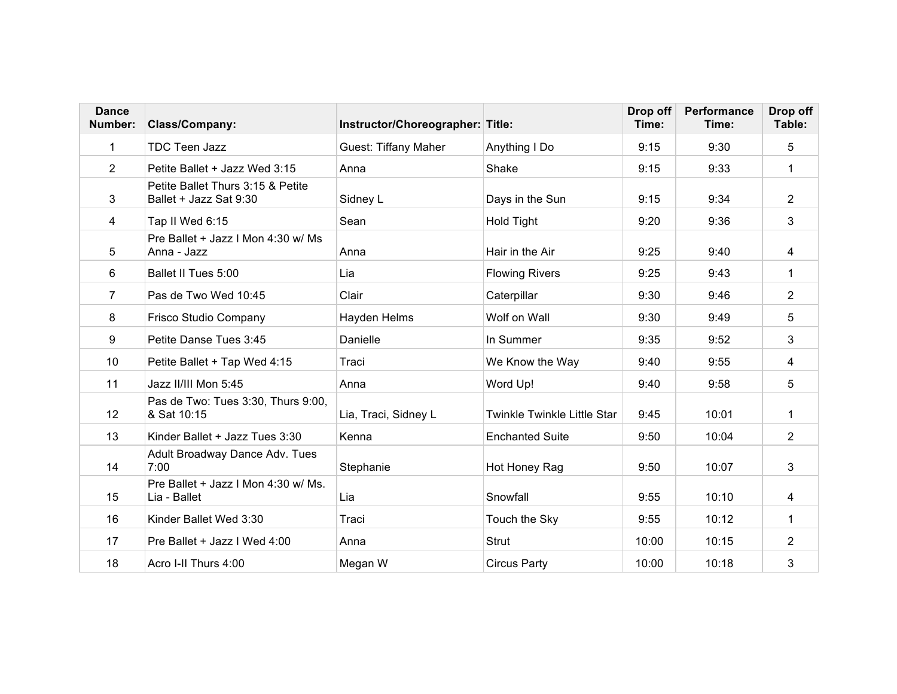| <b>Dance</b><br>Number: | Class/Company:                                              | Instructor/Choreographer: Title: |                                    | Drop off<br>Time: | Performance<br>Time: | Drop off<br>Table: |
|-------------------------|-------------------------------------------------------------|----------------------------------|------------------------------------|-------------------|----------------------|--------------------|
| 1                       | <b>TDC Teen Jazz</b>                                        | <b>Guest: Tiffany Maher</b>      | Anything I Do                      | 9:15              | 9:30                 | 5                  |
| 2                       | Petite Ballet + Jazz Wed 3:15                               | Anna                             | Shake                              | 9:15              | 9:33                 | $\mathbf 1$        |
| 3                       | Petite Ballet Thurs 3:15 & Petite<br>Ballet + Jazz Sat 9:30 | Sidney L                         | Days in the Sun                    | 9:15              | 9:34                 | $\overline{2}$     |
| 4                       | Tap II Wed 6:15                                             | Sean                             | <b>Hold Tight</b>                  | 9:20              | 9:36                 | 3                  |
| 5                       | Pre Ballet + Jazz I Mon 4:30 w/ Ms<br>Anna - Jazz           | Anna                             | Hair in the Air                    | 9:25              | 9:40                 | 4                  |
| 6                       | Ballet II Tues 5:00                                         | Lia                              | <b>Flowing Rivers</b>              | 9:25              | 9:43                 | $\mathbf{1}$       |
| $\overline{7}$          | Pas de Two Wed 10:45                                        | Clair                            | Caterpillar                        | 9:30              | 9:46                 | $\overline{2}$     |
| 8                       | Frisco Studio Company                                       | Hayden Helms                     | Wolf on Wall                       | 9:30              | 9:49                 | 5                  |
| 9                       | Petite Danse Tues 3:45                                      | Danielle                         | In Summer                          | 9:35              | 9:52                 | 3                  |
| 10                      | Petite Ballet + Tap Wed 4:15                                | Traci                            | We Know the Way                    | 9:40              | 9:55                 | 4                  |
| 11                      | Jazz II/III Mon 5:45                                        | Anna                             | Word Up!                           | 9:40              | 9:58                 | 5                  |
| 12                      | Pas de Two: Tues 3:30, Thurs 9:00,<br>& Sat 10:15           | Lia, Traci, Sidney L             | <b>Twinkle Twinkle Little Star</b> | 9:45              | 10:01                | $\mathbf{1}$       |
| 13                      | Kinder Ballet + Jazz Tues 3:30                              | Kenna                            | <b>Enchanted Suite</b>             | 9:50              | 10:04                | 2                  |
| 14                      | Adult Broadway Dance Adv. Tues<br>7:00                      | Stephanie                        | Hot Honey Rag                      | 9:50              | 10:07                | 3                  |
| 15                      | Pre Ballet + Jazz I Mon 4:30 w/ Ms.<br>Lia - Ballet         | Lia                              | Snowfall                           | 9:55              | 10:10                | 4                  |
| 16                      | Kinder Ballet Wed 3:30                                      | Traci                            | Touch the Sky                      | 9:55              | 10:12                | 1                  |
| 17                      | Pre Ballet + Jazz I Wed 4:00                                | Anna                             | <b>Strut</b>                       | 10:00             | 10:15                | $\overline{2}$     |
| 18                      | Acro I-II Thurs 4:00                                        | Megan W                          | <b>Circus Party</b>                | 10:00             | 10:18                | 3                  |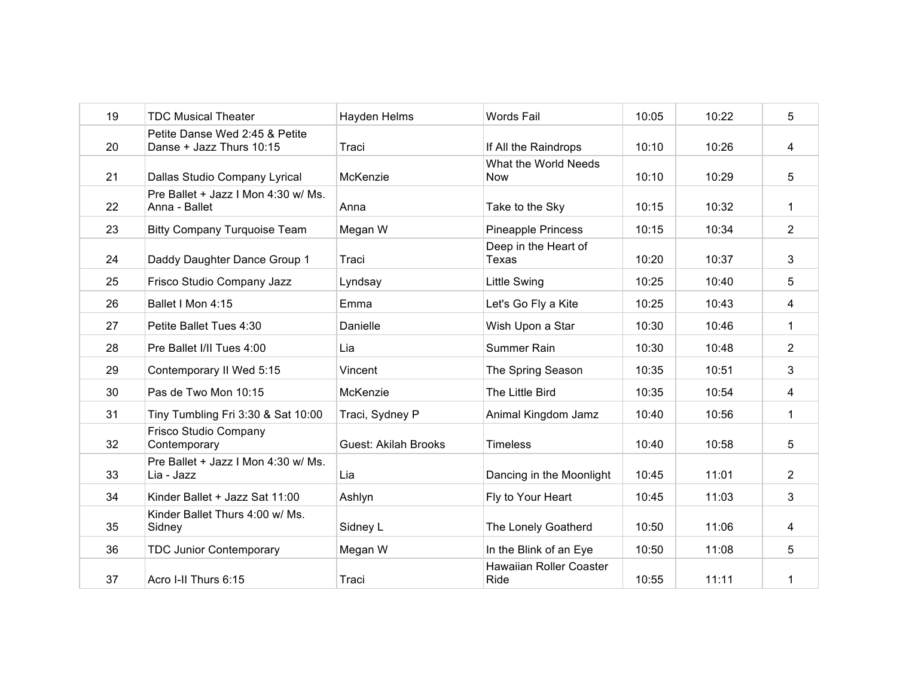| 19 | <b>TDC Musical Theater</b>                                 | Hayden Helms                | <b>Words Fail</b>                      | 10:05 | 10:22 | 5              |
|----|------------------------------------------------------------|-----------------------------|----------------------------------------|-------|-------|----------------|
| 20 | Petite Danse Wed 2:45 & Petite<br>Danse + Jazz Thurs 10:15 | Traci                       | If All the Raindrops                   | 10:10 | 10:26 | 4              |
| 21 | Dallas Studio Company Lyrical                              | McKenzie                    | What the World Needs<br><b>Now</b>     | 10:10 | 10:29 | 5              |
| 22 | Pre Ballet + Jazz I Mon 4:30 w/ Ms.<br>Anna - Ballet       | Anna                        | Take to the Sky                        | 10:15 | 10:32 | 1              |
| 23 | <b>Bitty Company Turquoise Team</b>                        | Megan W                     | <b>Pineapple Princess</b>              | 10:15 | 10:34 | $\overline{2}$ |
| 24 | Daddy Daughter Dance Group 1                               | Traci                       | Deep in the Heart of<br>Texas          | 10:20 | 10:37 | 3              |
| 25 | Frisco Studio Company Jazz                                 | Lyndsay                     | <b>Little Swing</b>                    | 10:25 | 10:40 | 5              |
| 26 | Ballet I Mon 4:15                                          | Emma                        | Let's Go Fly a Kite                    | 10:25 | 10:43 | 4              |
| 27 | Petite Ballet Tues 4:30                                    | Danielle                    | Wish Upon a Star                       | 10:30 | 10:46 | 1              |
| 28 | Pre Ballet I/II Tues 4:00                                  | Lia                         | Summer Rain                            | 10:30 | 10:48 | $\overline{2}$ |
| 29 | Contemporary II Wed 5:15                                   | Vincent                     | The Spring Season                      | 10:35 | 10:51 | 3              |
| 30 | Pas de Two Mon 10:15                                       | McKenzie                    | The Little Bird                        | 10:35 | 10:54 | 4              |
| 31 | Tiny Tumbling Fri 3:30 & Sat 10:00                         | Traci, Sydney P             | Animal Kingdom Jamz                    | 10:40 | 10:56 | $\mathbf{1}$   |
| 32 | Frisco Studio Company<br>Contemporary                      | <b>Guest: Akilah Brooks</b> | <b>Timeless</b>                        | 10:40 | 10:58 | 5              |
| 33 | Pre Ballet + Jazz I Mon 4:30 w/ Ms.<br>Lia - Jazz          | Lia                         | Dancing in the Moonlight               | 10:45 | 11:01 | $\overline{2}$ |
| 34 | Kinder Ballet + Jazz Sat 11:00                             | Ashlyn                      | Fly to Your Heart                      | 10:45 | 11:03 | 3              |
| 35 | Kinder Ballet Thurs 4:00 w/ Ms.<br>Sidney                  | Sidney L                    | The Lonely Goatherd                    | 10:50 | 11:06 | 4              |
| 36 | <b>TDC Junior Contemporary</b>                             | Megan W                     | In the Blink of an Eye                 | 10:50 | 11:08 | 5              |
| 37 | Acro I-II Thurs 6:15                                       | Traci                       | <b>Hawaiian Roller Coaster</b><br>Ride | 10:55 | 11:11 | 1              |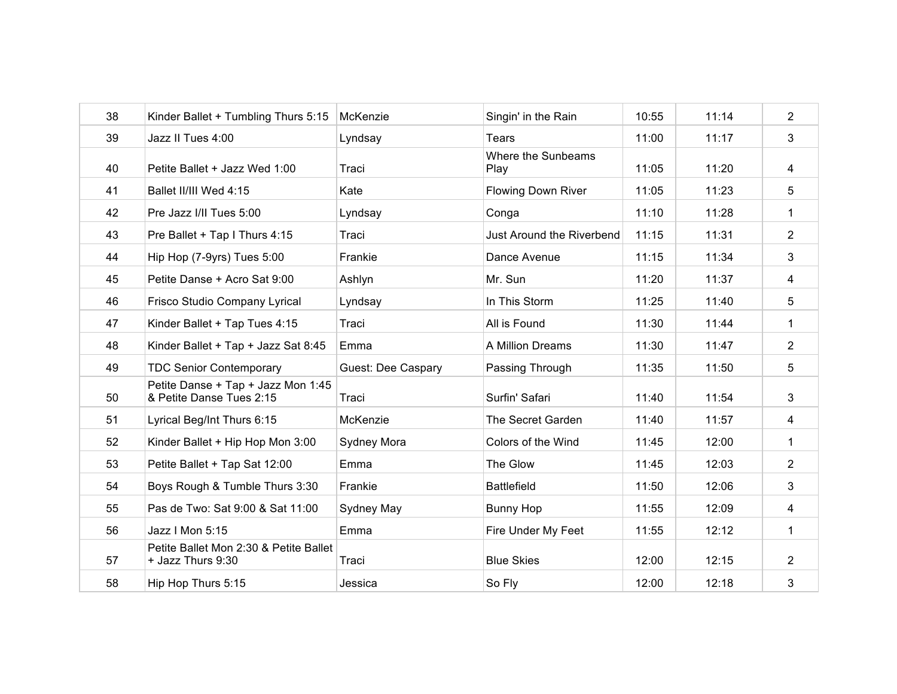| 38 | Kinder Ballet + Tumbling Thurs 5:15                            | McKenzie                  | Singin' in the Rain        | 10:55 | 11:14 | $\overline{c}$ |
|----|----------------------------------------------------------------|---------------------------|----------------------------|-------|-------|----------------|
| 39 | Jazz II Tues 4:00                                              | Lyndsay                   | Tears                      | 11:00 | 11:17 | 3              |
| 40 | Petite Ballet + Jazz Wed 1:00                                  | Traci                     | Where the Sunbeams<br>Play | 11:05 | 11:20 | 4              |
| 41 | Ballet II/III Wed 4:15                                         | Kate                      | <b>Flowing Down River</b>  | 11:05 | 11:23 | 5              |
| 42 | Pre Jazz I/II Tues 5:00                                        | Lyndsay                   | Conga                      | 11:10 | 11:28 | $\mathbf 1$    |
| 43 | Pre Ballet + Tap I Thurs 4:15                                  | Traci                     | Just Around the Riverbend  | 11:15 | 11:31 | $\overline{2}$ |
| 44 | Hip Hop (7-9yrs) Tues 5:00                                     | Frankie                   | Dance Avenue               | 11:15 | 11:34 | 3              |
| 45 | Petite Danse + Acro Sat 9:00                                   | Ashlyn                    | Mr. Sun                    | 11:20 | 11:37 | 4              |
| 46 | Frisco Studio Company Lyrical                                  | Lyndsay                   | In This Storm              | 11:25 | 11:40 | 5              |
| 47 | Kinder Ballet + Tap Tues 4:15                                  | Traci                     | All is Found               | 11:30 | 11:44 | $\mathbf 1$    |
| 48 | Kinder Ballet + Tap + Jazz Sat 8:45                            | Emma                      | A Million Dreams           | 11:30 | 11:47 | $\overline{2}$ |
| 49 | <b>TDC Senior Contemporary</b>                                 | <b>Guest: Dee Caspary</b> | Passing Through            | 11:35 | 11:50 | 5              |
| 50 | Petite Danse + Tap + Jazz Mon 1:45<br>& Petite Danse Tues 2:15 | Traci                     | Surfin' Safari             | 11:40 | 11:54 | 3              |
| 51 | Lyrical Beg/Int Thurs 6:15                                     | McKenzie                  | The Secret Garden          | 11:40 | 11:57 | 4              |
| 52 | Kinder Ballet + Hip Hop Mon 3:00                               | Sydney Mora               | Colors of the Wind         | 11:45 | 12:00 | 1              |
| 53 | Petite Ballet + Tap Sat 12:00                                  | Emma                      | The Glow                   | 11:45 | 12:03 | $\overline{2}$ |
| 54 | Boys Rough & Tumble Thurs 3:30                                 | Frankie                   | <b>Battlefield</b>         | 11:50 | 12:06 | 3              |
| 55 | Pas de Two: Sat 9:00 & Sat 11:00                               | Sydney May                | <b>Bunny Hop</b>           | 11:55 | 12:09 | 4              |
| 56 | Jazz I Mon 5:15                                                | Emma                      | Fire Under My Feet         | 11:55 | 12:12 | 1              |
| 57 | Petite Ballet Mon 2:30 & Petite Ballet<br>+ Jazz Thurs 9:30    | Traci                     | <b>Blue Skies</b>          | 12:00 | 12:15 | $\overline{2}$ |
| 58 | Hip Hop Thurs 5:15                                             | Jessica                   | So Fly                     | 12:00 | 12:18 | 3              |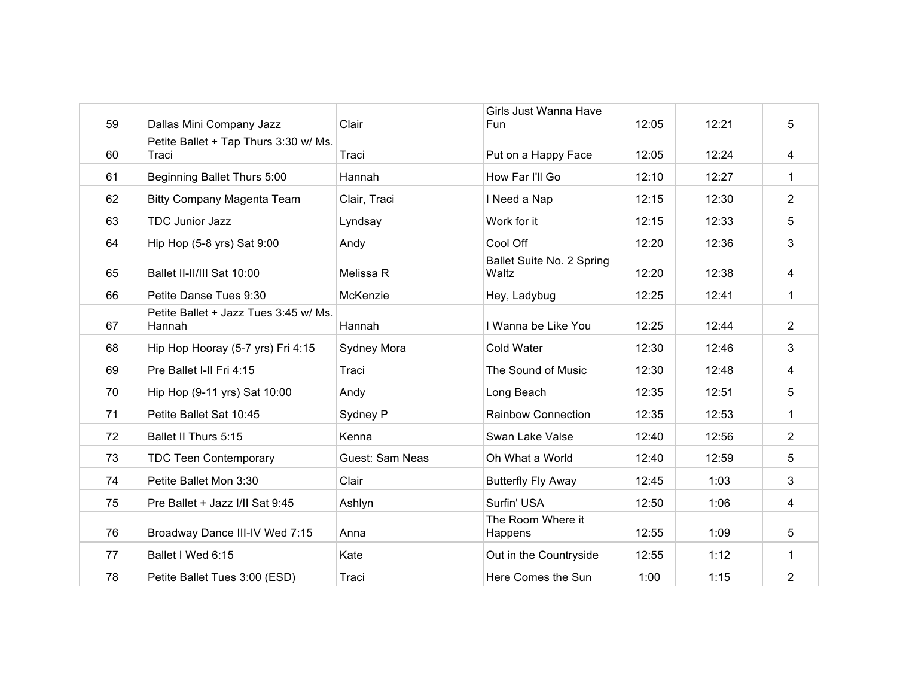| 59 | Dallas Mini Company Jazz                        | Clair           | Girls Just Wanna Have<br>Fun       | 12:05 | 12:21 | 5              |
|----|-------------------------------------------------|-----------------|------------------------------------|-------|-------|----------------|
| 60 | Petite Ballet + Tap Thurs 3:30 w/ Ms.<br>Traci  | Traci           | Put on a Happy Face                | 12:05 | 12:24 | 4              |
| 61 | Beginning Ballet Thurs 5:00                     | Hannah          | How Far I'll Go                    | 12:10 | 12:27 | $\mathbf 1$    |
| 62 | Bitty Company Magenta Team                      | Clair, Traci    | I Need a Nap                       | 12:15 | 12:30 | $\overline{2}$ |
| 63 | <b>TDC Junior Jazz</b>                          | Lyndsay         | Work for it                        | 12:15 | 12:33 | 5              |
| 64 | Hip Hop (5-8 yrs) Sat 9:00                      | Andy            | Cool Off                           | 12:20 | 12:36 | 3              |
| 65 | Ballet II-II/III Sat 10:00                      | Melissa R       | Ballet Suite No. 2 Spring<br>Waltz | 12:20 | 12:38 | 4              |
| 66 | Petite Danse Tues 9:30                          | McKenzie        | Hey, Ladybug                       | 12:25 | 12:41 | $\mathbf 1$    |
| 67 | Petite Ballet + Jazz Tues 3:45 w/ Ms.<br>Hannah | Hannah          | I Wanna be Like You                | 12:25 | 12:44 | $\overline{2}$ |
| 68 | Hip Hop Hooray (5-7 yrs) Fri 4:15               | Sydney Mora     | Cold Water                         | 12:30 | 12:46 | 3              |
| 69 | Pre Ballet I-II Fri 4:15                        | Traci           | The Sound of Music                 | 12:30 | 12:48 | 4              |
| 70 | Hip Hop (9-11 yrs) Sat 10:00                    | Andy            | Long Beach                         | 12:35 | 12:51 | 5              |
| 71 | Petite Ballet Sat 10:45                         | Sydney P        | <b>Rainbow Connection</b>          | 12:35 | 12:53 | $\mathbf 1$    |
| 72 | Ballet II Thurs 5:15                            | Kenna           | Swan Lake Valse                    | 12:40 | 12:56 | $\overline{2}$ |
| 73 | <b>TDC Teen Contemporary</b>                    | Guest: Sam Neas | Oh What a World                    | 12:40 | 12:59 | 5              |
| 74 | Petite Ballet Mon 3:30                          | Clair           | <b>Butterfly Fly Away</b>          | 12:45 | 1:03  | 3              |
| 75 | Pre Ballet + Jazz I/II Sat 9:45                 | Ashlyn          | Surfin' USA                        | 12:50 | 1:06  | 4              |
| 76 | Broadway Dance III-IV Wed 7:15                  | Anna            | The Room Where it<br>Happens       | 12:55 | 1:09  | 5              |
| 77 | Ballet I Wed 6:15                               | Kate            | Out in the Countryside             | 12:55 | 1:12  | 1              |
| 78 | Petite Ballet Tues 3:00 (ESD)                   | Traci           | Here Comes the Sun                 | 1:00  | 1:15  | 2              |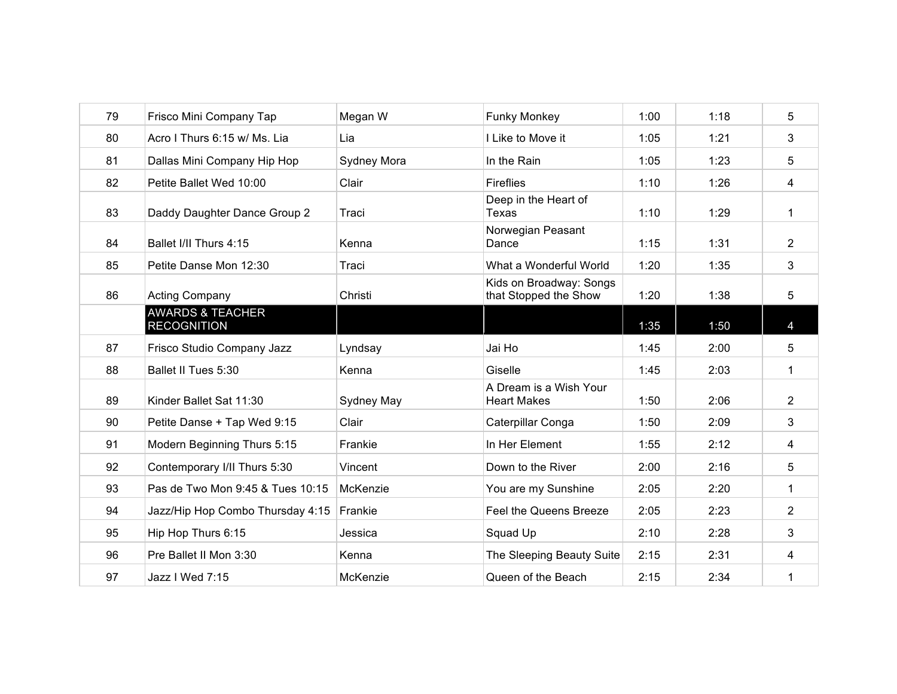| 79 | Frisco Mini Company Tap                           | Megan W     | <b>Funky Monkey</b>                              | 1:00 | 1:18 | 5              |
|----|---------------------------------------------------|-------------|--------------------------------------------------|------|------|----------------|
| 80 | Acro I Thurs 6:15 w/ Ms. Lia                      | Lia         | I Like to Move it                                | 1:05 | 1:21 | 3              |
| 81 | Dallas Mini Company Hip Hop                       | Sydney Mora | In the Rain                                      | 1:05 | 1:23 | 5              |
| 82 | Petite Ballet Wed 10:00                           | Clair       | <b>Fireflies</b>                                 | 1:10 | 1:26 | 4              |
| 83 | Daddy Daughter Dance Group 2                      | Traci       | Deep in the Heart of<br>Texas                    | 1:10 | 1:29 | 1              |
| 84 | Ballet I/II Thurs 4:15                            | Kenna       | Norwegian Peasant<br>Dance                       | 1:15 | 1:31 | $\overline{2}$ |
| 85 | Petite Danse Mon 12:30                            | Traci       | What a Wonderful World                           | 1:20 | 1:35 | 3              |
| 86 | <b>Acting Company</b>                             | Christi     | Kids on Broadway: Songs<br>that Stopped the Show | 1:20 | 1:38 | 5              |
|    | <b>AWARDS &amp; TEACHER</b><br><b>RECOGNITION</b> |             |                                                  | 1:35 | 1:50 | $\overline{4}$ |
| 87 | Frisco Studio Company Jazz                        | Lyndsay     | Jai Ho                                           | 1:45 | 2:00 | 5              |
| 88 | Ballet II Tues 5:30                               | Kenna       | Giselle                                          | 1:45 | 2:03 | 1              |
| 89 | Kinder Ballet Sat 11:30                           | Sydney May  | A Dream is a Wish Your<br><b>Heart Makes</b>     | 1:50 | 2:06 | $\overline{2}$ |
| 90 | Petite Danse + Tap Wed 9:15                       | Clair       | Caterpillar Conga                                | 1:50 | 2:09 | 3              |
| 91 | Modern Beginning Thurs 5:15                       | Frankie     | In Her Element                                   | 1:55 | 2:12 | 4              |
| 92 | Contemporary I/II Thurs 5:30                      | Vincent     | Down to the River                                | 2:00 | 2:16 | 5              |
| 93 | Pas de Two Mon 9:45 & Tues 10:15                  | McKenzie    | You are my Sunshine                              | 2:05 | 2:20 | 1              |
| 94 | Jazz/Hip Hop Combo Thursday 4:15                  | Frankie     | Feel the Queens Breeze                           | 2:05 | 2:23 | $\overline{2}$ |
| 95 | Hip Hop Thurs 6:15                                | Jessica     | Squad Up                                         | 2:10 | 2:28 | 3              |
| 96 | Pre Ballet II Mon 3:30                            | Kenna       | The Sleeping Beauty Suite                        | 2:15 | 2:31 | 4              |
| 97 | Jazz I Wed 7:15                                   | McKenzie    | Queen of the Beach                               | 2:15 | 2:34 | 1              |
|    |                                                   |             |                                                  |      |      |                |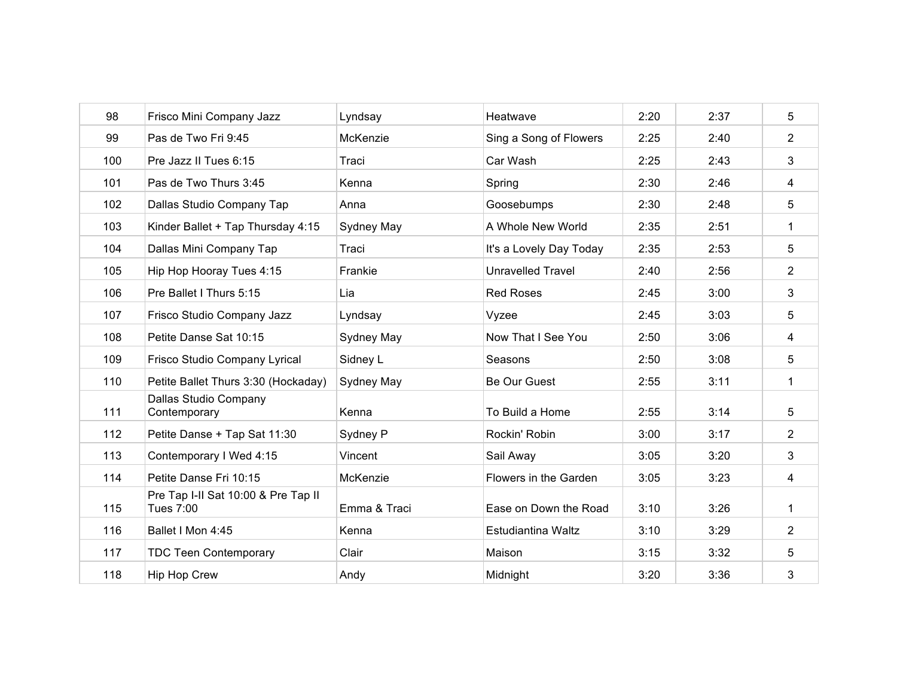| 98  | Frisco Mini Company Jazz                         | Lyndsay      | Heatwave                 | 2:20 | 2:37 | 5              |
|-----|--------------------------------------------------|--------------|--------------------------|------|------|----------------|
| 99  | Pas de Two Fri 9:45                              | McKenzie     | Sing a Song of Flowers   | 2:25 | 2:40 | $\overline{2}$ |
| 100 | Pre Jazz II Tues 6:15                            | Traci        | Car Wash                 | 2:25 | 2:43 | 3              |
| 101 | Pas de Two Thurs 3:45                            | Kenna        | Spring                   | 2:30 | 2:46 | 4              |
| 102 | Dallas Studio Company Tap                        | Anna         | Goosebumps               | 2:30 | 2:48 | 5              |
| 103 | Kinder Ballet + Tap Thursday 4:15                | Sydney May   | A Whole New World        | 2:35 | 2:51 | 1              |
| 104 | Dallas Mini Company Tap                          | Traci        | It's a Lovely Day Today  | 2:35 | 2:53 | 5              |
| 105 | Hip Hop Hooray Tues 4:15                         | Frankie      | <b>Unravelled Travel</b> | 2:40 | 2:56 | $\overline{2}$ |
| 106 | Pre Ballet I Thurs 5:15                          | Lia          | <b>Red Roses</b>         | 2:45 | 3:00 | 3              |
| 107 | Frisco Studio Company Jazz                       | Lyndsay      | Vyzee                    | 2:45 | 3:03 | 5              |
| 108 | Petite Danse Sat 10:15                           | Sydney May   | Now That I See You       | 2:50 | 3:06 | 4              |
| 109 | Frisco Studio Company Lyrical                    | Sidney L     | Seasons                  | 2:50 | 3:08 | 5              |
| 110 | Petite Ballet Thurs 3:30 (Hockaday)              | Sydney May   | Be Our Guest             | 2:55 | 3:11 | $\mathbf 1$    |
| 111 | Dallas Studio Company<br>Contemporary            | Kenna        | To Build a Home          | 2:55 | 3:14 | 5              |
| 112 | Petite Danse + Tap Sat 11:30                     | Sydney P     | Rockin' Robin            | 3:00 | 3:17 | $\overline{2}$ |
| 113 | Contemporary I Wed 4:15                          | Vincent      | Sail Away                | 3:05 | 3:20 | 3              |
| 114 | Petite Danse Fri 10:15                           | McKenzie     | Flowers in the Garden    | 3:05 | 3:23 | 4              |
| 115 | Pre Tap I-II Sat 10:00 & Pre Tap II<br>Tues 7:00 | Emma & Traci | Ease on Down the Road    | 3:10 | 3:26 | 1              |
| 116 | Ballet I Mon 4:45                                | Kenna        | Estudiantina Waltz       | 3:10 | 3:29 | $\overline{2}$ |
| 117 | <b>TDC Teen Contemporary</b>                     | Clair        | Maison                   | 3:15 | 3:32 | 5              |
| 118 | Hip Hop Crew                                     | Andy         | Midnight                 | 3:20 | 3:36 | 3              |
|     |                                                  |              |                          |      |      |                |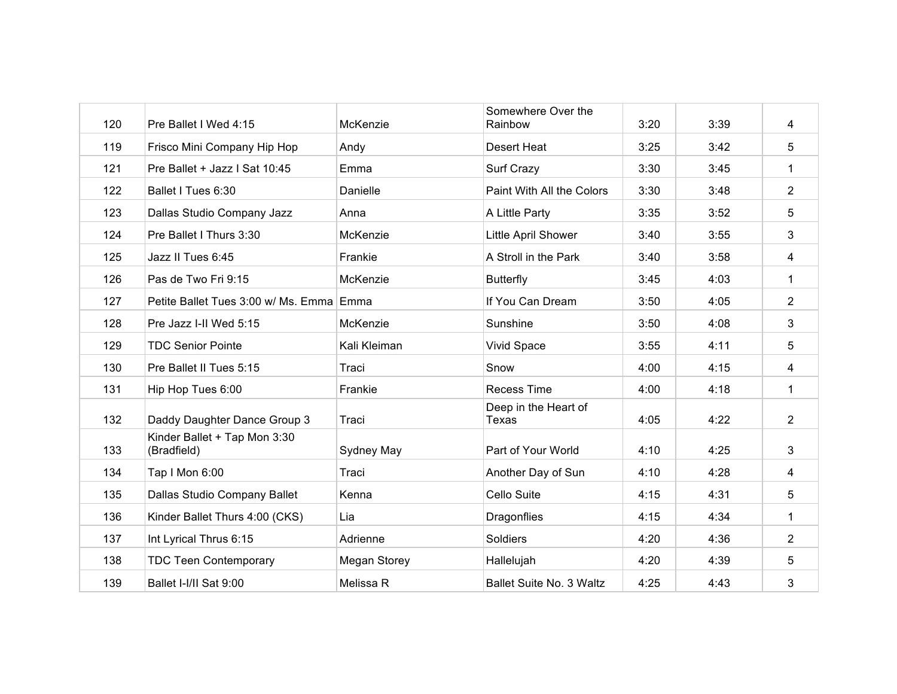| 120 | Pre Ballet I Wed 4:15                       | McKenzie     | Somewhere Over the<br>Rainbow | 3:20 | 3:39 | 4              |
|-----|---------------------------------------------|--------------|-------------------------------|------|------|----------------|
| 119 | Frisco Mini Company Hip Hop                 | Andy         | <b>Desert Heat</b>            | 3:25 | 3:42 | 5              |
| 121 | Pre Ballet + Jazz   Sat 10:45               | Emma         | Surf Crazy                    | 3:30 | 3:45 | $\mathbf 1$    |
| 122 | Ballet I Tues 6:30                          | Danielle     | Paint With All the Colors     | 3:30 | 3:48 | $\overline{2}$ |
| 123 | Dallas Studio Company Jazz                  | Anna         | A Little Party                | 3:35 | 3:52 | 5              |
| 124 | Pre Ballet I Thurs 3:30                     | McKenzie     | Little April Shower           | 3:40 | 3:55 | 3              |
| 125 | Jazz II Tues 6:45                           | Frankie      | A Stroll in the Park          | 3:40 | 3:58 | 4              |
| 126 | Pas de Two Fri 9:15                         | McKenzie     | <b>Butterfly</b>              | 3:45 | 4:03 | $\mathbf{1}$   |
| 127 | Petite Ballet Tues 3:00 w/ Ms. Emma Emma    |              | If You Can Dream              | 3:50 | 4:05 | $\overline{2}$ |
| 128 | Pre Jazz I-II Wed 5:15                      | McKenzie     | Sunshine                      | 3:50 | 4:08 | 3              |
| 129 | <b>TDC Senior Pointe</b>                    | Kali Kleiman | <b>Vivid Space</b>            | 3:55 | 4:11 | 5              |
| 130 | Pre Ballet II Tues 5:15                     | Traci        | Snow                          | 4:00 | 4:15 | 4              |
| 131 | Hip Hop Tues 6:00                           | Frankie      | <b>Recess Time</b>            | 4:00 | 4:18 | $\mathbf 1$    |
| 132 | Daddy Daughter Dance Group 3                | Traci        | Deep in the Heart of<br>Texas | 4:05 | 4:22 | $\overline{2}$ |
| 133 | Kinder Ballet + Tap Mon 3:30<br>(Bradfield) | Sydney May   | Part of Your World            | 4:10 | 4:25 | 3              |
| 134 | Tap I Mon 6:00                              | Traci        | Another Day of Sun            | 4:10 | 4:28 | 4              |
| 135 | Dallas Studio Company Ballet                | Kenna        | Cello Suite                   | 4:15 | 4:31 | 5              |
| 136 | Kinder Ballet Thurs 4:00 (CKS)              | Lia          | Dragonflies                   | 4:15 | 4:34 | $\mathbf 1$    |
| 137 | Int Lyrical Thrus 6:15                      | Adrienne     | Soldiers                      | 4:20 | 4:36 | $\overline{2}$ |
| 138 | <b>TDC Teen Contemporary</b>                | Megan Storey | Hallelujah                    | 4:20 | 4:39 | 5              |
| 139 | Ballet I-I/II Sat 9:00                      | Melissa R    | Ballet Suite No. 3 Waltz      | 4:25 | 4:43 | 3              |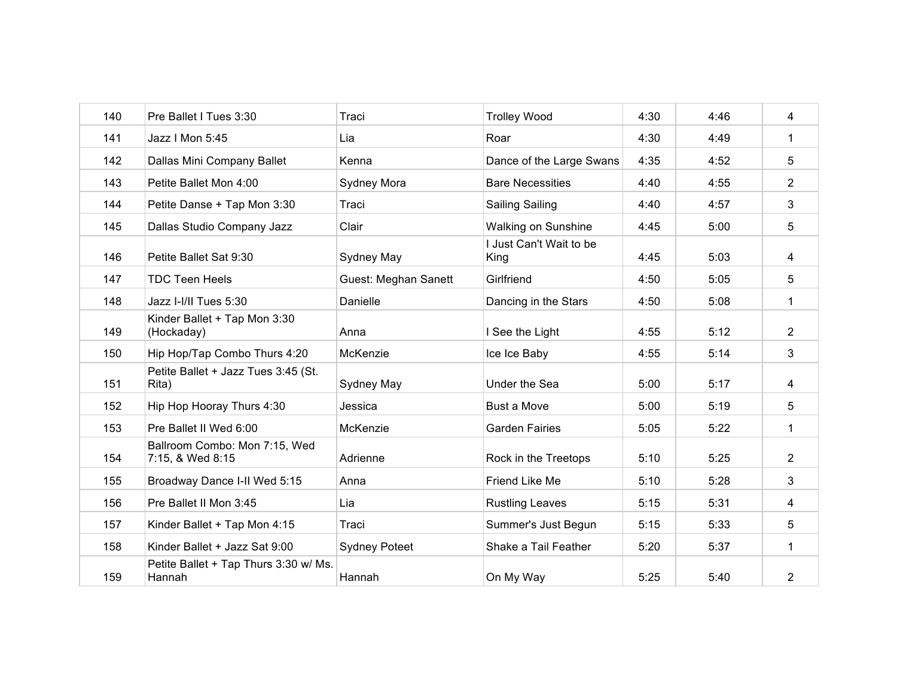| 140 | Pre Ballet I Tues 3:30                            | Traci                       | <b>Trolley Wood</b>             | 4:30 | 4:46 | 4              |
|-----|---------------------------------------------------|-----------------------------|---------------------------------|------|------|----------------|
| 141 | Jazz I Mon 5:45                                   | Lia                         | Roar                            | 4:30 | 4:49 | $\mathbf 1$    |
| 142 | Dallas Mini Company Ballet                        | Kenna                       | Dance of the Large Swans        | 4:35 | 4:52 | 5              |
| 143 | Petite Ballet Mon 4:00                            | Sydney Mora                 | <b>Bare Necessities</b>         | 4:40 | 4:55 | $\overline{2}$ |
| 144 | Petite Danse + Tap Mon 3:30                       | Traci                       | <b>Sailing Sailing</b>          | 4:40 | 4:57 | 3              |
| 145 | Dallas Studio Company Jazz                        | Clair                       | Walking on Sunshine             | 4:45 | 5:00 | 5              |
| 146 | Petite Ballet Sat 9:30                            | Sydney May                  | I Just Can't Wait to be<br>King | 4:45 | 5:03 | 4              |
| 147 | <b>TDC Teen Heels</b>                             | <b>Guest: Meghan Sanett</b> | Girlfriend                      | 4:50 | 5:05 | 5              |
| 148 | Jazz I-I/II Tues 5:30                             | Danielle                    | Dancing in the Stars            | 4:50 | 5:08 | 1              |
| 149 | Kinder Ballet + Tap Mon 3:30<br>(Hockaday)        | Anna                        | I See the Light                 | 4:55 | 5:12 | $\overline{2}$ |
| 150 | Hip Hop/Tap Combo Thurs 4:20                      | McKenzie                    | Ice Ice Baby                    | 4:55 | 5:14 | 3              |
| 151 | Petite Ballet + Jazz Tues 3:45 (St.<br>Rita)      | Sydney May                  | Under the Sea                   | 5:00 | 5:17 | 4              |
| 152 | Hip Hop Hooray Thurs 4:30                         | Jessica                     | <b>Bust a Move</b>              | 5:00 | 5:19 | 5              |
| 153 | Pre Ballet II Wed 6:00                            | McKenzie                    | <b>Garden Fairies</b>           | 5:05 | 5:22 | $\mathbf 1$    |
| 154 | Ballroom Combo: Mon 7:15, Wed<br>7:15, & Wed 8:15 | Adrienne                    | Rock in the Treetops            | 5:10 | 5:25 | $\overline{2}$ |
| 155 | Broadway Dance I-II Wed 5:15                      | Anna                        | Friend Like Me                  | 5:10 | 5:28 | 3              |
| 156 | Pre Ballet II Mon 3:45                            | Lia                         | <b>Rustling Leaves</b>          | 5:15 | 5:31 | 4              |
| 157 | Kinder Ballet + Tap Mon 4:15                      | Traci                       | Summer's Just Begun             | 5:15 | 5:33 | 5              |
| 158 | Kinder Ballet + Jazz Sat 9:00                     | <b>Sydney Poteet</b>        | Shake a Tail Feather            | 5:20 | 5:37 | 1              |
| 159 | Petite Ballet + Tap Thurs 3:30 w/ Ms.<br>Hannah   | Hannah                      | On My Way                       | 5:25 | 5:40 | 2              |